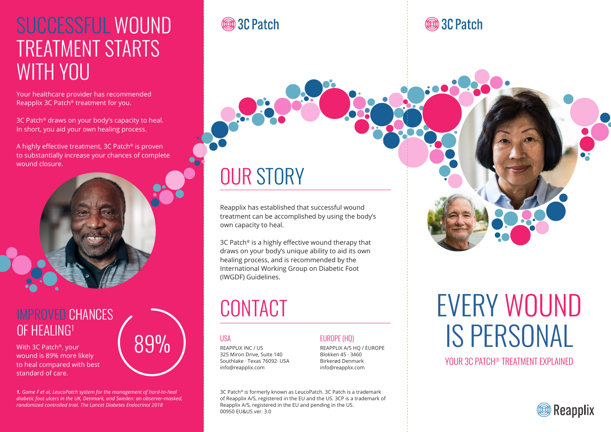## SUCCESSFUL WOUND TREATMENT STARTS WITH YOU

Your healthcare provider has recommended Reapplix 3C Patch® treatment for you.

3C Patch® draws on your body's capacity to heal. In short, you aid your own healing process.

A highly effective treatment, 3C Patch® is proven to substantially increase your chances of complete wound closure.



#### IMPROVED CHANCES **OF HEALING1**

With 3C Patch®, your wound is 89% more likely to heal compared with best standard of care.

*1. Game F et al, LeucoPatch system for the management of hard-to-heal diabetic foot ulcers in the UK, Denmark, and Sweden: an observer-masked, randomized controlled trial. The Lancet Diabetes Endocrinol 2018*

89%

#### **® 3C Patch**

# OUR STORY

Reapplix has established that successful wound treatment can be accomplished by using the body's own capacity to heal.

3C Patch® is a highly effective wound therapy that draws on your body's unique ability to aid its own healing process, and is recommended by the International Working Group on Diabetic Foot (IWGDF) Guidelines.

## **CONTACT**

#### **TISA**

REAPPLIX INC / US 325 Miron Drive, Suite 140 Southlake · Texas 76092· USA info@reapplix.com

#### EUROPE (HQ)

REAPPLIX A/S HQ / EUROPE Blokken 45 · 3460 Birkerød Denmark info@reapplix.com

3C Patch® is formerly known as LeucoPatch. 3C Patch is a trademark of Reapplix A/S, registered in the EU and the US. 3CP is a trademark of Reapplix A/S, registered in the EU and pending in the US. 00950 EU&US ver. 3.0

#### **® 3C Patch**



# EVERY WOUND IS PERSONAL

YOUR 3C PATCH® TREATMENT EXPLAINED